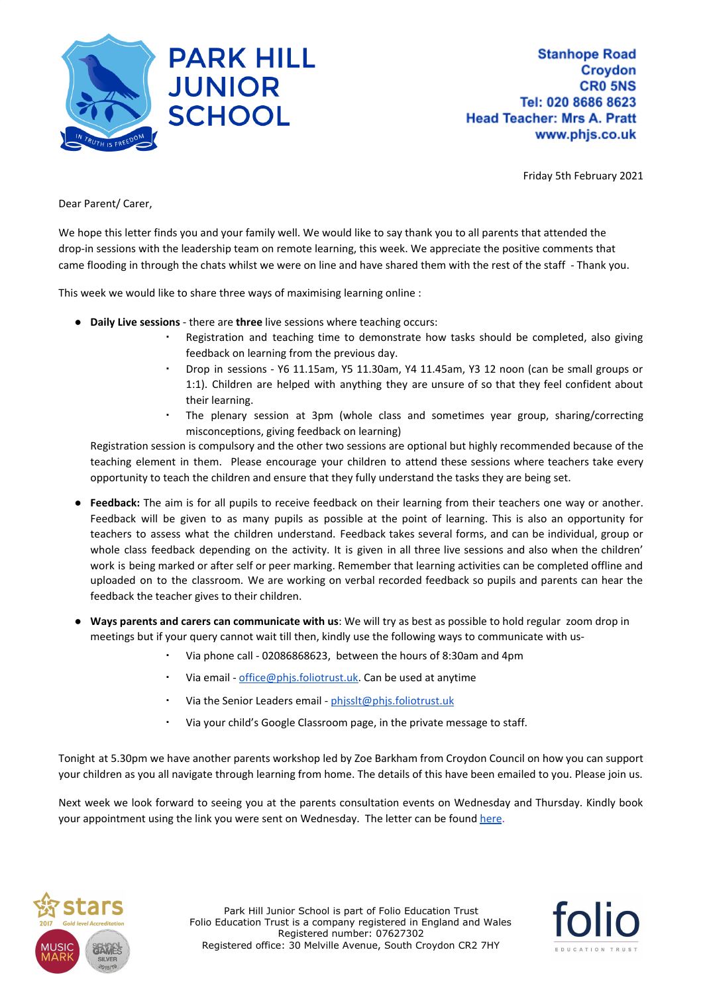

Friday 5th February 2021

Dear Parent/ Carer,

We hope this letter finds you and your family well. We would like to say thank you to all parents that attended the drop-in sessions with the leadership team on remote learning, this week. We appreciate the positive comments that came flooding in through the chats whilst we were on line and have shared them with the rest of the staff - Thank you.

This week we would like to share three ways of maximising learning online :

- **Daily Live sessions** there are **three** live sessions where teaching occurs:
	- Registration and teaching time to demonstrate how tasks should be completed, also giving feedback on learning from the previous day.
	- Drop in sessions Y6 11.15am, Y5 11.30am, Y4 11.45am, Y3 12 noon (can be small groups or 1:1). Children are helped with anything they are unsure of so that they feel confident about their learning.
	- The plenary session at 3pm (whole class and sometimes year group, sharing/correcting misconceptions, giving feedback on learning)

Registration session is compulsory and the other two sessions are optional but highly recommended because of the teaching element in them. Please encourage your children to attend these sessions where teachers take every opportunity to teach the children and ensure that they fully understand the tasks they are being set.

- **Feedback:** The aim is for all pupils to receive feedback on their learning from their teachers one way or another. Feedback will be given to as many pupils as possible at the point of learning. This is also an opportunity for teachers to assess what the children understand. Feedback takes several forms, and can be individual, group or whole class feedback depending on the activity. It is given in all three live sessions and also when the children' work is being marked or after self or peer marking. Remember that learning activities can be completed offline and uploaded on to the classroom. We are working on verbal recorded feedback so pupils and parents can hear the feedback the teacher gives to their children.
- **Ways parents and carers can communicate with us**: We will try as best as possible to hold regular zoom drop in meetings but if your query cannot wait till then, kindly use the following ways to communicate with us-
	- Via phone call 02086868623, between the hours of 8:30am and 4pm
	- Via email [office@phjs.foliotrust.uk.](mailto:office@phjs.foliotrust.uk) Can be used at anytime
	- Via the Senior Leaders email [phjsslt@phjs.foliotrust.uk](mailto:phjsslt@phjs.foliotrust.uk)
	- Via your child's Google Classroom page, in the private message to staff.

Tonight at 5.30pm we have another parents workshop led by Zoe Barkham from Croydon Council on how you can support your children as you all navigate through learning from home. The details of this have been emailed to you. Please join us.

Next week we look forward to seeing you at the parents consultation events on Wednesday and Thursday. Kindly book your appointment using the link you were sent on Wednesday. The letter can be found [here.](https://resources.finalsite.net/images/v1612373714/folioeducationcouk/q9dx5gwjjk03llsxyb9q/ParentConsultations-February2021.pdf)